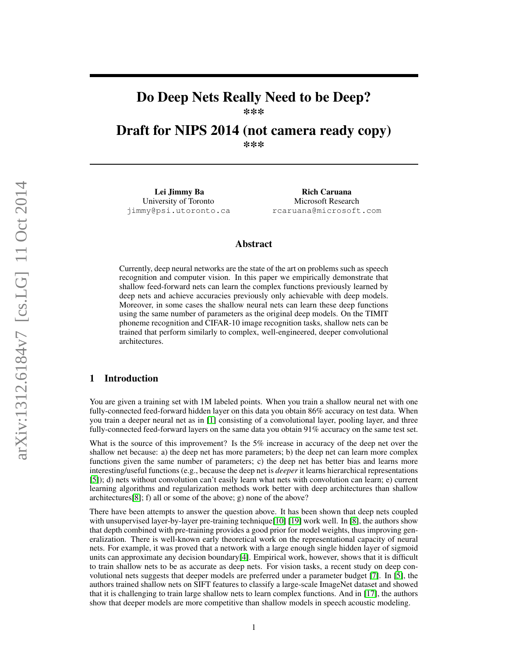# Do Deep Nets Really Need to be Deep?

\*\*\*

Draft for NIPS 2014 (not camera ready copy)

\*\*\*

Lei Jimmy Ba University of Toronto jimmy@psi.utoronto.ca

Rich Caruana Microsoft Research rcaruana@microsoft.com

# Abstract

Currently, deep neural networks are the state of the art on problems such as speech recognition and computer vision. In this paper we empirically demonstrate that shallow feed-forward nets can learn the complex functions previously learned by deep nets and achieve accuracies previously only achievable with deep models. Moreover, in some cases the shallow neural nets can learn these deep functions using the same number of parameters as the original deep models. On the TIMIT phoneme recognition and CIFAR-10 image recognition tasks, shallow nets can be trained that perform similarly to complex, well-engineered, deeper convolutional architectures.

# 1 Introduction

You are given a training set with 1M labeled points. When you train a shallow neural net with one fully-connected feed-forward hidden layer on this data you obtain 86% accuracy on test data. When you train a deeper neural net as in [\[1\]](#page-8-0) consisting of a convolutional layer, pooling layer, and three fully-connected feed-forward layers on the same data you obtain 91% accuracy on the same test set.

What is the source of this improvement? Is the 5% increase in accuracy of the deep net over the shallow net because: a) the deep net has more parameters; b) the deep net can learn more complex functions given the same number of parameters; c) the deep net has better bias and learns more interesting/useful functions (e.g., because the deep net is *deeper* it learns hierarchical representations [\[5\]](#page-8-1)); d) nets without convolution can't easily learn what nets with convolution can learn; e) current learning algorithms and regularization methods work better with deep architectures than shallow architectures[\[8\]](#page-8-2); f) all or some of the above; g) none of the above?

There have been attempts to answer the question above. It has been shown that deep nets coupled with unsupervised layer-by-layer pre-training technique [\[10\]](#page-8-3) [\[19\]](#page-9-0) work well. In [\[8\]](#page-8-2), the authors show that depth combined with pre-training provides a good prior for model weights, thus improving generalization. There is well-known early theoretical work on the representational capacity of neural nets. For example, it was proved that a network with a large enough single hidden layer of sigmoid units can approximate any decision boundary[\[4\]](#page-8-4). Empirical work, however, shows that it is difficult to train shallow nets to be as accurate as deep nets. For vision tasks, a recent study on deep convolutional nets suggests that deeper models are preferred under a parameter budget [\[7\]](#page-8-5). In [\[5\]](#page-8-1), the authors trained shallow nets on SIFT features to classify a large-scale ImageNet dataset and showed that it is challenging to train large shallow nets to learn complex functions. And in [\[17\]](#page-9-1), the authors show that deeper models are more competitive than shallow models in speech acoustic modeling.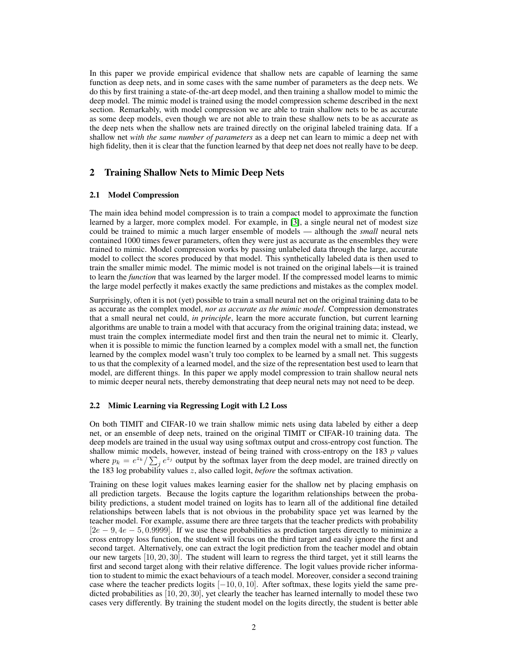In this paper we provide empirical evidence that shallow nets are capable of learning the same function as deep nets, and in some cases with the same number of parameters as the deep nets. We do this by first training a state-of-the-art deep model, and then training a shallow model to mimic the deep model. The mimic model is trained using the model compression scheme described in the next section. Remarkably, with model compression we are able to train shallow nets to be as accurate as some deep models, even though we are not able to train these shallow nets to be as accurate as the deep nets when the shallow nets are trained directly on the original labeled training data. If a shallow net *with the same number of parameters* as a deep net can learn to mimic a deep net with high fidelity, then it is clear that the function learned by that deep net does not really have to be deep.

# 2 Training Shallow Nets to Mimic Deep Nets

#### 2.1 Model Compression

The main idea behind model compression is to train a compact model to approximate the function learned by a larger, more complex model. For example, in [\[3\]](#page-8-6), a single neural net of modest size could be trained to mimic a much larger ensemble of models — although the *small* neural nets contained 1000 times fewer parameters, often they were just as accurate as the ensembles they were trained to mimic. Model compression works by passing unlabeled data through the large, accurate model to collect the scores produced by that model. This synthetically labeled data is then used to train the smaller mimic model. The mimic model is not trained on the original labels—it is trained to learn the *function* that was learned by the larger model. If the compressed model learns to mimic the large model perfectly it makes exactly the same predictions and mistakes as the complex model.

Surprisingly, often it is not (yet) possible to train a small neural net on the original training data to be as accurate as the complex model, *nor as accurate as the mimic model*. Compression demonstrates that a small neural net could, *in principle*, learn the more accurate function, but current learning algorithms are unable to train a model with that accuracy from the original training data; instead, we must train the complex intermediate model first and then train the neural net to mimic it. Clearly, when it is possible to mimic the function learned by a complex model with a small net, the function learned by the complex model wasn't truly too complex to be learned by a small net. This suggests to us that the complexity of a learned model, and the size of the representation best used to learn that model, are different things. In this paper we apply model compression to train shallow neural nets to mimic deeper neural nets, thereby demonstrating that deep neural nets may not need to be deep.

#### <span id="page-1-0"></span>2.2 Mimic Learning via Regressing Logit with L2 Loss

On both TIMIT and CIFAR-10 we train shallow mimic nets using data labeled by either a deep net, or an ensemble of deep nets, trained on the original TIMIT or CIFAR-10 training data. The deep models are trained in the usual way using softmax output and cross-entropy cost function. The shallow mimic models, however, instead of being trained with cross-entropy on the 183  $p$  values where  $p_k = e^{z_k} / \sum_j e^{z_j}$  output by the softmax layer from the deep model, are trained directly on the 183 log probability values z, also called logit, *before* the softmax activation.

Training on these logit values makes learning easier for the shallow net by placing emphasis on all prediction targets. Because the logits capture the logarithm relationships between the probability predictions, a student model trained on logits has to learn all of the additional fine detailed relationships between labels that is not obvious in the probability space yet was learned by the teacher model. For example, assume there are three targets that the teacher predicts with probability  $[2e - 9, 4e - 5, 0.9999]$ . If we use these probabilities as prediction targets directly to minimize a cross entropy loss function, the student will focus on the third target and easily ignore the first and second target. Alternatively, one can extract the logit prediction from the teacher model and obtain our new targets [10, 20, 30]. The student will learn to regress the third target, yet it still learns the first and second target along with their relative difference. The logit values provide richer information to student to mimic the exact behaviours of a teach model. Moreover, consider a second training case where the teacher predicts logits  $[-10, 0, 10]$ . After softmax, these logits yield the same predicted probabilities as [10, 20, 30], yet clearly the teacher has learned internally to model these two cases very differently. By training the student model on the logits directly, the student is better able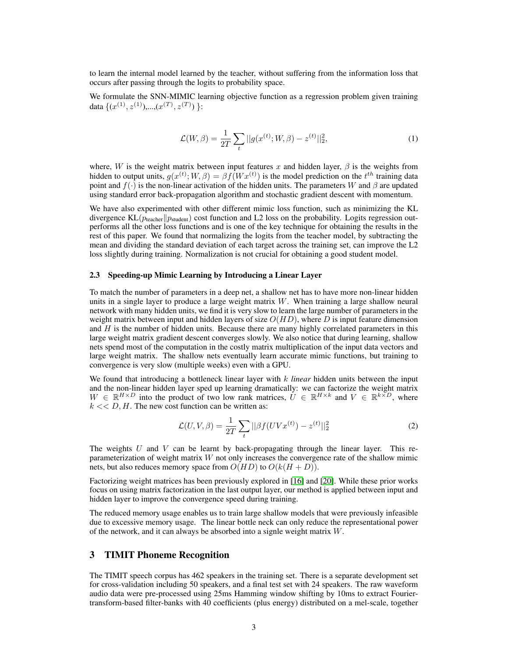to learn the internal model learned by the teacher, without suffering from the information loss that occurs after passing through the logits to probability space.

We formulate the SNN-MIMIC learning objective function as a regression problem given training data  $\{(x^{(1)}, z^{(1)}),..., (x^{(T)}, z^{(T)})\}$ :

$$
\mathcal{L}(W,\beta) = \frac{1}{2T} \sum_{t} ||g(x^{(t)};W,\beta) - z^{(t)}||_2^2,
$$
\n(1)

where, W is the weight matrix between input features x and hidden layer,  $\beta$  is the weights from hidden to output units,  $g(x^{(t)}; W, \beta) = \beta f(Wx^{(t)})$  is the model prediction on the  $t^{th}$  training data point and  $f(\cdot)$  is the non-linear activation of the hidden units. The parameters W and  $\beta$  are updated using standard error back-propagation algorithm and stochastic gradient descent with momentum.

We have also experimented with other different mimic loss function, such as minimizing the KL divergence  $KL(p_{teacher}|| p_{student})$  cost function and L2 loss on the probability. Logits regression outperforms all the other loss functions and is one of the key technique for obtaining the results in the rest of this paper. We found that normalizing the logits from the teacher model, by subtracting the mean and dividing the standard deviation of each target across the training set, can improve the L2 loss slightly during training. Normalization is not crucial for obtaining a good student model.

#### <span id="page-2-0"></span>2.3 Speeding-up Mimic Learning by Introducing a Linear Layer

To match the number of parameters in a deep net, a shallow net has to have more non-linear hidden units in a single layer to produce a large weight matrix  $W$ . When training a large shallow neural network with many hidden units, we find it is very slow to learn the large number of parameters in the weight matrix between input and hidden layers of size  $O(HD)$ , where D is input feature dimension and  $H$  is the number of hidden units. Because there are many highly correlated parameters in this large weight matrix gradient descent converges slowly. We also notice that during learning, shallow nets spend most of the computation in the costly matrix multiplication of the input data vectors and large weight matrix. The shallow nets eventually learn accurate mimic functions, but training to convergence is very slow (multiple weeks) even with a GPU.

We found that introducing a bottleneck linear layer with k *linear* hidden units between the input and the non-linear hidden layer sped up learning dramatically: we can factorize the weight matrix  $W \in \mathbb{R}^{H \times D}$  into the product of two low rank matrices,  $\dot{U} \in \mathbb{R}^{H \times k}$  and  $V \in \mathbb{R}^{k \times D}$ , where  $k \ll D$ , H. The new cost function can be written as:

$$
\mathcal{L}(U, V, \beta) = \frac{1}{2T} \sum_{t} ||\beta f(UVx^{(t)}) - z^{(t)}||_2^2
$$
 (2)

The weights  $U$  and  $V$  can be learnt by back-propagating through the linear layer. This reparameterization of weight matrix  $W$  not only increases the convergence rate of the shallow mimic nets, but also reduces memory space from  $O(HD)$  to  $O(k(H+D)).$ 

Factorizing weight matrices has been previously explored in [\[16\]](#page-9-2) and [\[20\]](#page-9-3). While these prior works focus on using matrix factorization in the last output layer, our method is applied between input and hidden layer to improve the convergence speed during training.

The reduced memory usage enables us to train large shallow models that were previously infeasible due to excessive memory usage. The linear bottle neck can only reduce the representational power of the network, and it can always be absorbed into a signle weight matrix W.

## 3 TIMIT Phoneme Recognition

The TIMIT speech corpus has 462 speakers in the training set. There is a separate development set for cross-validation including 50 speakers, and a final test set with 24 speakers. The raw waveform audio data were pre-processed using 25ms Hamming window shifting by 10ms to extract Fouriertransform-based filter-banks with 40 coefficients (plus energy) distributed on a mel-scale, together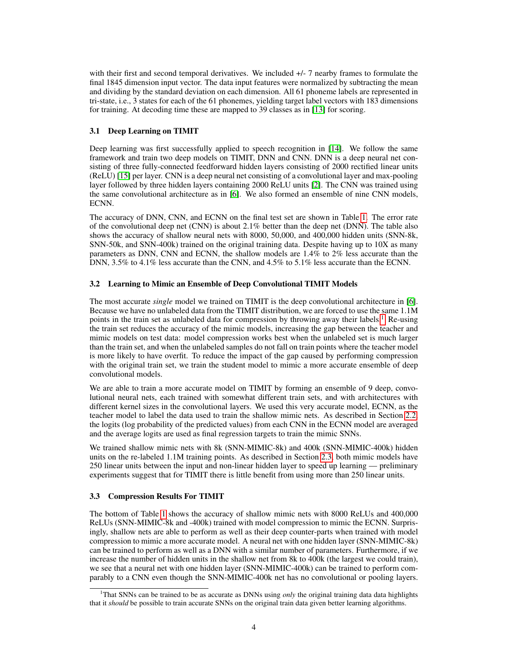with their first and second temporal derivatives. We included  $+/-7$  nearby frames to formulate the final 1845 dimension input vector. The data input features were normalized by subtracting the mean and dividing by the standard deviation on each dimension. All 61 phoneme labels are represented in tri-state, i.e., 3 states for each of the 61 phonemes, yielding target label vectors with 183 dimensions for training. At decoding time these are mapped to 39 classes as in [\[13\]](#page-9-4) for scoring.

# 3.1 Deep Learning on TIMIT

Deep learning was first successfully applied to speech recognition in [\[14\]](#page-9-5). We follow the same framework and train two deep models on TIMIT, DNN and CNN. DNN is a deep neural net consisting of three fully-connected feedforward hidden layers consisting of 2000 rectified linear units (ReLU) [\[15\]](#page-9-6) per layer. CNN is a deep neural net consisting of a convolutional layer and max-pooling layer followed by three hidden layers containing 2000 ReLU units [\[2\]](#page-8-7). The CNN was trained using the same convolutional architecture as in [\[6\]](#page-8-8). We also formed an ensemble of nine CNN models, ECNN.

The accuracy of DNN, CNN, and ECNN on the final test set are shown in Table [1.](#page-4-0) The error rate of the convolutional deep net (CNN) is about 2.1% better than the deep net (DNN). The table also shows the accuracy of shallow neural nets with 8000, 50,000, and 400,000 hidden units (SNN-8k, SNN-50k, and SNN-400k) trained on the original training data. Despite having up to 10X as many parameters as DNN, CNN and ECNN, the shallow models are 1.4% to 2% less accurate than the DNN, 3.5% to 4.1% less accurate than the CNN, and 4.5% to 5.1% less accurate than the ECNN.

#### 3.2 Learning to Mimic an Ensemble of Deep Convolutional TIMIT Models

The most accurate *single* model we trained on TIMIT is the deep convolutional architecture in [\[6\]](#page-8-8). Because we have no unlabeled data from the TIMIT distribution, we are forced to use the same 1.1M points in the train set as unlabeled data for compression by throwing away their labels.<sup>[1](#page-3-0)</sup> Re-using the train set reduces the accuracy of the mimic models, increasing the gap between the teacher and mimic models on test data: model compression works best when the unlabeled set is much larger than the train set, and when the unlabeled samples do not fall on train points where the teacher model is more likely to have overfit. To reduce the impact of the gap caused by performing compression with the original train set, we train the student model to mimic a more accurate ensemble of deep convolutional models.

We are able to train a more accurate model on TIMIT by forming an ensemble of 9 deep, convolutional neural nets, each trained with somewhat different train sets, and with architectures with different kernel sizes in the convolutional layers. We used this very accurate model, ECNN, as the teacher model to label the data used to train the shallow mimic nets. As described in Section [2.2,](#page-1-0) the logits (log probability of the predicted values) from each CNN in the ECNN model are averaged and the average logits are used as final regression targets to train the mimic SNNs.

We trained shallow mimic nets with 8k (SNN-MIMIC-8k) and 400k (SNN-MIMIC-400k) hidden units on the re-labeled 1.1M training points. As described in Section [2.3,](#page-2-0) both mimic models have 250 linear units between the input and non-linear hidden layer to speed up learning — preliminary experiments suggest that for TIMIT there is little benefit from using more than 250 linear units.

#### 3.3 Compression Results For TIMIT

The bottom of Table [1](#page-4-0) shows the accuracy of shallow mimic nets with 8000 ReLUs and 400,000 ReLUs (SNN-MIMIC-8k and -400k) trained with model compression to mimic the ECNN. Surprisingly, shallow nets are able to perform as well as their deep counter-parts when trained with model compression to mimic a more accurate model. A neural net with one hidden layer (SNN-MIMIC-8k) can be trained to perform as well as a DNN with a similar number of parameters. Furthermore, if we increase the number of hidden units in the shallow net from 8k to 400k (the largest we could train), we see that a neural net with one hidden layer (SNN-MIMIC-400k) can be trained to perform comparably to a CNN even though the SNN-MIMIC-400k net has no convolutional or pooling layers.

<span id="page-3-0"></span><sup>&</sup>lt;sup>1</sup>That SNNs can be trained to be as accurate as DNNs using *only* the original training data data highlights that it *should* be possible to train accurate SNNs on the original train data given better learning algorithms.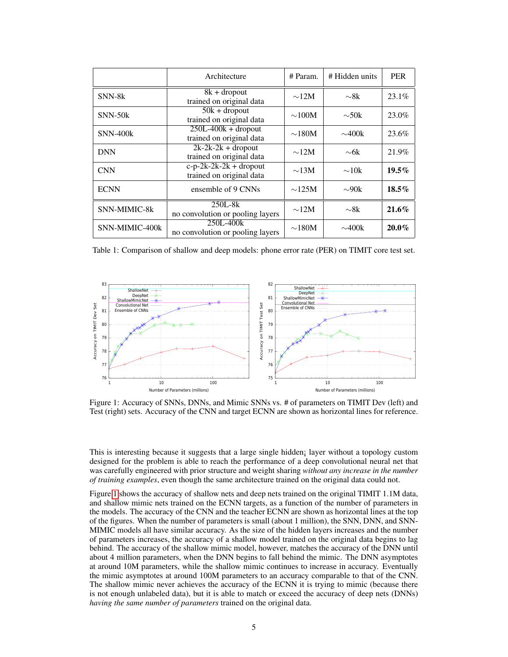|                 | Architecture                                         | # Param.    | # Hidden units | <b>PER</b> |
|-----------------|------------------------------------------------------|-------------|----------------|------------|
| SNN-8k          | $8k +$ dropout<br>trained on original data           | $\sim$ 12M  | $\sim$ 8k      | 23.1%      |
| $SNN-50k$       | $50k + dropout$<br>trained on original data          | $\sim$ 100M | $\sim 50k$     | 23.0%      |
| <b>SNN-400k</b> | $250L-400k + dropout$<br>trained on original data    | $\sim$ 180M | $\sim$ 400k    | 23.6%      |
| <b>DNN</b>      | $2k-2k-2k$ + dropout<br>trained on original data     | $\sim$ 12M  | $\sim$ 6k      | 21.9%      |
| <b>CNN</b>      | $c-p-2k-2k-2k$ + dropout<br>trained on original data | $\sim$ 13M  | $\sim$ 10k     | $19.5\%$   |
| <b>ECNN</b>     | ensemble of 9 CNNs                                   | $\sim$ 125M | $\sim 90k$     | $18.5\%$   |
| SNN-MIMIC-8k    | $250L-8k$<br>no convolution or pooling layers        | $\sim$ 12M  | $\sim$ 8k      | $21.6\%$   |
| SNN-MIMIC-400k  | 250L-400k<br>no convolution or pooling layers        | $\sim$ 180M | $\sim$ 400k    | $20.0\%$   |

<span id="page-4-0"></span>Table 1: Comparison of shallow and deep models: phone error rate (PER) on TIMIT core test set.



<span id="page-4-1"></span>Figure 1: Accuracy of SNNs, DNNs, and Mimic SNNs vs. # of parameters on TIMIT Dev (left) and Test (right) sets. Accuracy of the CNN and target ECNN are shown as horizontal lines for reference.

This is interesting because it suggests that a large single hidden¡ layer without a topology custom designed for the problem is able to reach the performance of a deep convolutional neural net that was carefully engineered with prior structure and weight sharing *without any increase in the number of training examples*, even though the same architecture trained on the original data could not.

Figure [1](#page-4-1) shows the accuracy of shallow nets and deep nets trained on the original TIMIT 1.1M data, and shallow mimic nets trained on the ECNN targets, as a function of the number of parameters in the models. The accuracy of the CNN and the teacher ECNN are shown as horizontal lines at the top of the figures. When the number of parameters is small (about 1 million), the SNN, DNN, and SNN-MIMIC models all have similar accuracy. As the size of the hidden layers increases and the number of parameters increases, the accuracy of a shallow model trained on the original data begins to lag behind. The accuracy of the shallow mimic model, however, matches the accuracy of the DNN until about 4 million parameters, when the DNN begins to fall behind the mimic. The DNN asymptotes at around 10M parameters, while the shallow mimic continues to increase in accuracy. Eventually the mimic asymptotes at around 100M parameters to an accuracy comparable to that of the CNN. The shallow mimic never achieves the accuracy of the ECNN it is trying to mimic (because there is not enough unlabeled data), but it is able to match or exceed the accuracy of deep nets (DNNs) *having the same number of parameters* trained on the original data.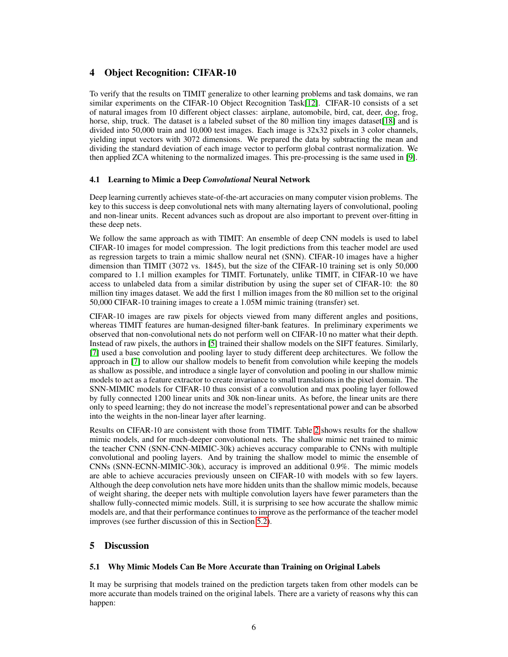# 4 Object Recognition: CIFAR-10

To verify that the results on TIMIT generalize to other learning problems and task domains, we ran similar experiments on the CIFAR-10 Object Recognition Task[\[12\]](#page-9-7). CIFAR-10 consists of a set of natural images from 10 different object classes: airplane, automobile, bird, cat, deer, dog, frog, horse, ship, truck. The dataset is a labeled subset of the 80 million tiny images dataset [\[18\]](#page-9-8) and is divided into 50,000 train and 10,000 test images. Each image is 32x32 pixels in 3 color channels, yielding input vectors with 3072 dimensions. We prepared the data by subtracting the mean and dividing the standard deviation of each image vector to perform global contrast normalization. We then applied ZCA whitening to the normalized images. This pre-processing is the same used in [\[9\]](#page-8-9).

# 4.1 Learning to Mimic a Deep *Convolutional* Neural Network

Deep learning currently achieves state-of-the-art accuracies on many computer vision problems. The key to this success is deep convolutional nets with many alternating layers of convolutional, pooling and non-linear units. Recent advances such as dropout are also important to prevent over-fitting in these deep nets.

We follow the same approach as with TIMIT: An ensemble of deep CNN models is used to label CIFAR-10 images for model compression. The logit predictions from this teacher model are used as regression targets to train a mimic shallow neural net (SNN). CIFAR-10 images have a higher dimension than TIMIT (3072 vs. 1845), but the size of the CIFAR-10 training set is only 50,000 compared to 1.1 million examples for TIMIT. Fortunately, unlike TIMIT, in CIFAR-10 we have access to unlabeled data from a similar distribution by using the super set of CIFAR-10: the 80 million tiny images dataset. We add the first 1 million images from the 80 million set to the original 50,000 CIFAR-10 training images to create a 1.05M mimic training (transfer) set.

CIFAR-10 images are raw pixels for objects viewed from many different angles and positions, whereas TIMIT features are human-designed filter-bank features. In preliminary experiments we observed that non-convolutional nets do not perform well on CIFAR-10 no matter what their depth. Instead of raw pixels, the authors in [\[5\]](#page-8-1) trained their shallow models on the SIFT features. Similarly, [\[7\]](#page-8-5) used a base convolution and pooling layer to study different deep architectures. We follow the approach in [\[7\]](#page-8-5) to allow our shallow models to benefit from convolution while keeping the models as shallow as possible, and introduce a single layer of convolution and pooling in our shallow mimic models to act as a feature extractor to create invariance to small translations in the pixel domain. The SNN-MIMIC models for CIFAR-10 thus consist of a convolution and max pooling layer followed by fully connected 1200 linear units and 30k non-linear units. As before, the linear units are there only to speed learning; they do not increase the model's representational power and can be absorbed into the weights in the non-linear layer after learning.

Results on CIFAR-10 are consistent with those from TIMIT. Table [2](#page-6-0) shows results for the shallow mimic models, and for much-deeper convolutional nets. The shallow mimic net trained to mimic the teacher CNN (SNN-CNN-MIMIC-30k) achieves accuracy comparable to CNNs with multiple convolutional and pooling layers. And by training the shallow model to mimic the ensemble of CNNs (SNN-ECNN-MIMIC-30k), accuracy is improved an additional 0.9%. The mimic models are able to achieve accuracies previously unseen on CIFAR-10 with models with so few layers. Although the deep convolution nets have more hidden units than the shallow mimic models, because of weight sharing, the deeper nets with multiple convolution layers have fewer parameters than the shallow fully-connected mimic models. Still, it is surprising to see how accurate the shallow mimic models are, and that their performance continues to improve as the performance of the teacher model improves (see further discussion of this in Section [5.2\)](#page-7-0).

# 5 Discussion

# 5.1 Why Mimic Models Can Be More Accurate than Training on Original Labels

It may be surprising that models trained on the prediction targets taken from other models can be more accurate than models trained on the original labels. There are a variety of reasons why this can happen: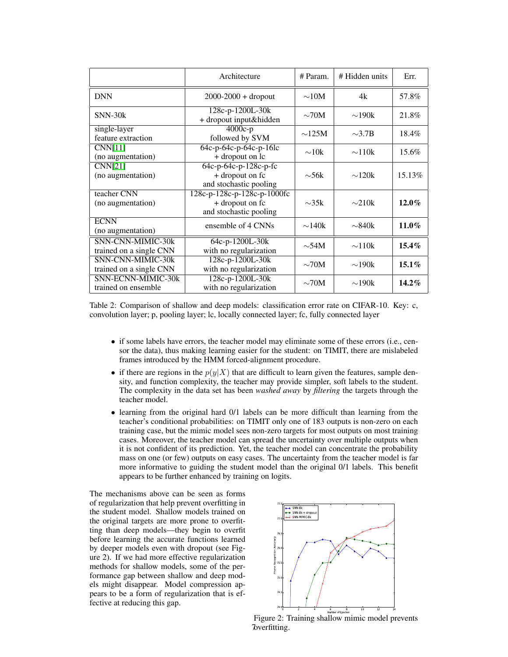|                                              | Architecture                                                             | # Param.       | # Hidden units | Err.     |
|----------------------------------------------|--------------------------------------------------------------------------|----------------|----------------|----------|
| <b>DNN</b>                                   | $2000 - 2000 +$ dropout                                                  | $\sim$ 10M     | 4k             | 57.8%    |
| $SNN-30k$                                    | 128c-p-1200L-30k<br>+ dropout input&hidden                               | $\sim70M$      | $\sim$ 190 $k$ | 21.8%    |
| single-layer<br>feature extraction           | $4000c-p$<br>followed by SVM                                             | $\sim$ 125M    | $\sim$ 3.7B    | 18.4%    |
| CNN[11]<br>(no augmentation)                 | $64c-p-64c-p-64c-p-16lc$<br>+ dropout on lc                              | $\sim 10k$     | $\sim$ 110k    | 15.6%    |
| CNN[21]<br>(no augmentation)                 | 64c-p-64c-p-128c-p-fc<br>+ dropout on fc<br>and stochastic pooling       | $\sim$ 56k     | $\sim$ 120 $k$ | 15.13%   |
| teacher CNN<br>(no augmentation)             | 128c-p-128c-p-128c-p-1000fc<br>+ dropout on fc<br>and stochastic pooling | $\sim 35k$     | $\sim$ 210k    | $12.0\%$ |
| <b>ECNN</b><br>(no augmentation)             | ensemble of 4 CNNs                                                       | $\sim$ 140 $k$ | $\sim$ 840k    | $11.0\%$ |
| SNN-CNN-MIMIC-30k<br>trained on a single CNN | 64c-p-1200L-30k<br>with no regularization                                | $\sim$ 54M     | $\sim$ 110 $k$ | $15.4\%$ |
| SNN-CNN-MIMIC-30k<br>trained on a single CNN | 128c-p-1200L-30k<br>with no regularization                               | $\sim70M$      | $\sim$ 190 $k$ | $15.1\%$ |
| SNN-ECNN-MIMIC-30k<br>trained on ensemble    | 128c-p-1200L-30k<br>with no regularization                               | $\sim70M$      | $\sim$ 190 $k$ | $14.2\%$ |

<span id="page-6-0"></span>Table 2: Comparison of shallow and deep models: classification error rate on CIFAR-10. Key: c, convolution layer; p, pooling layer; lc, locally connected layer; fc, fully connected layer

- if some labels have errors, the teacher model may eliminate some of these errors (i.e., censor the data), thus making learning easier for the student: on TIMIT, there are mislabeled frames introduced by the HMM forced-alignment procedure.
- if there are regions in the  $p(y|X)$  that are difficult to learn given the features, sample density, and function complexity, the teacher may provide simpler, soft labels to the student. The complexity in the data set has been *washed away* by *filtering* the targets through the teacher model.
- learning from the original hard 0/1 labels can be more difficult than learning from the teacher's conditional probabilities: on TIMIT only one of 183 outputs is non-zero on each training case, but the mimic model sees non-zero targets for most outputs on most training cases. Moreover, the teacher model can spread the uncertainty over multiple outputs when it is not confident of its prediction. Yet, the teacher model can concentrate the probability mass on one (or few) outputs on easy cases. The uncertainty from the teacher model is far more informative to guiding the student model than the original 0/1 labels. This benefit appears to be further enhanced by training on logits.

The mechanisms above can be seen as forms of regularization that help prevent overfitting in the student model. Shallow models trained on the original targets are more prone to overfitting than deep models—they begin to overfit before learning the accurate functions learned by deeper models even with dropout (see Figure 2). If we had more effective regularization methods for shallow models, some of the performance gap between shallow and deep models might disappear. Model compression appears to be a form of regularization that is effective at reducing this gap.



Figure 2: Training shallow mimic model prevents Toverfitting.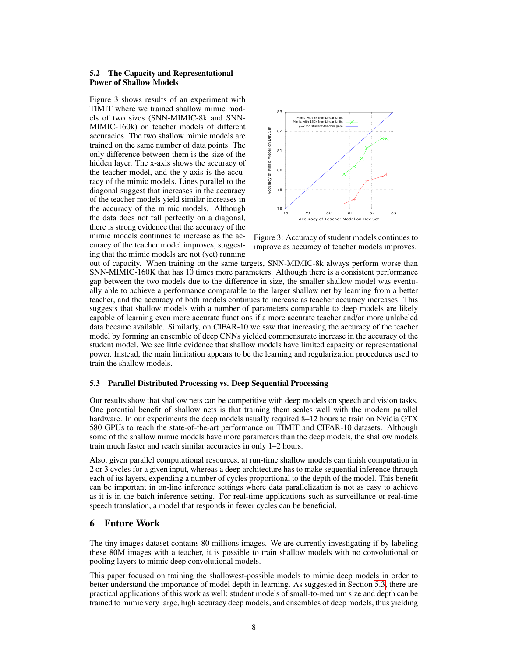#### <span id="page-7-0"></span>5.2 The Capacity and Representational Power of Shallow Models

Figure 3 shows results of an experiment with TIMIT where we trained shallow mimic models of two sizes (SNN-MIMIC-8k and SNN-MIMIC-160k) on teacher models of different accuracies. The two shallow mimic models are trained on the same number of data points. The only difference between them is the size of the hidden layer. The x-axis shows the accuracy of the teacher model, and the y-axis is the accuracy of the mimic models. Lines parallel to the diagonal suggest that increases in the accuracy of the teacher models yield similar increases in the accuracy of the mimic models. Although the data does not fall perfectly on a diagonal, there is strong evidence that the accuracy of the mimic models continues to increase as the accuracy of the teacher model improves, suggesting that the mimic models are not (yet) running



Figure 3: Accuracy of student models continues to improve as accuracy of teacher models improves.

out of capacity. When training on the same targets, SNN-MIMIC-8k always perform worse than SNN-MIMIC-160K that has 10 times more parameters. Although there is a consistent performance gap between the two models due to the difference in size, the smaller shallow model was eventually able to achieve a performance comparable to the larger shallow net by learning from a better teacher, and the accuracy of both models continues to increase as teacher accuracy increases. This suggests that shallow models with a number of parameters comparable to deep models are likely capable of learning even more accurate functions if a more accurate teacher and/or more unlabeled data became available. Similarly, on CIFAR-10 we saw that increasing the accuracy of the teacher model by forming an ensemble of deep CNNs yielded commensurate increase in the accuracy of the student model. We see little evidence that shallow models have limited capacity or representational power. Instead, the main limitation appears to be the learning and regularization procedures used to train the shallow models.

# <span id="page-7-1"></span>5.3 Parallel Distributed Processing vs. Deep Sequential Processing

Our results show that shallow nets can be competitive with deep models on speech and vision tasks. One potential benefit of shallow nets is that training them scales well with the modern parallel hardware. In our experiments the deep models usually required 8–12 hours to train on Nvidia GTX 580 GPUs to reach the state-of-the-art performance on TIMIT and CIFAR-10 datasets. Although some of the shallow mimic models have more parameters than the deep models, the shallow models train much faster and reach similar accuracies in only 1–2 hours.

Also, given parallel computational resources, at run-time shallow models can finish computation in 2 or 3 cycles for a given input, whereas a deep architecture has to make sequential inference through each of its layers, expending a number of cycles proportional to the depth of the model. This benefit can be important in on-line inference settings where data parallelization is not as easy to achieve as it is in the batch inference setting. For real-time applications such as surveillance or real-time speech translation, a model that responds in fewer cycles can be beneficial.

#### 6 Future Work

The tiny images dataset contains 80 millions images. We are currently investigating if by labeling these 80M images with a teacher, it is possible to train shallow models with no convolutional or pooling layers to mimic deep convolutional models.

This paper focused on training the shallowest-possible models to mimic deep models in order to better understand the importance of model depth in learning. As suggested in Section [5.3,](#page-7-1) there are practical applications of this work as well: student models of small-to-medium size and depth can be trained to mimic very large, high accuracy deep models, and ensembles of deep models, thus yielding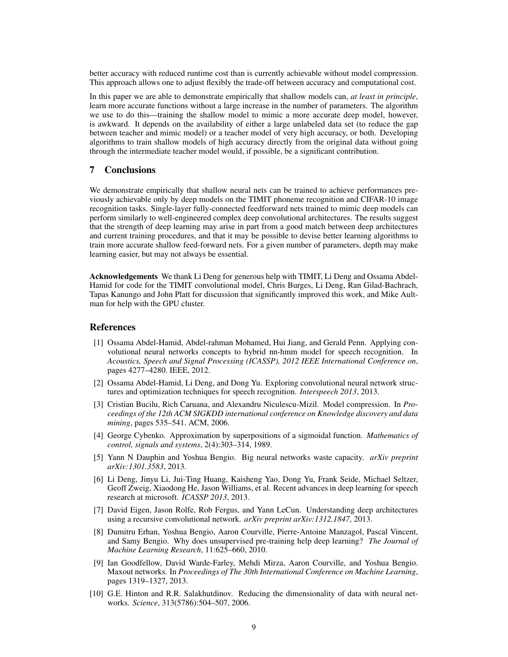better accuracy with reduced runtime cost than is currently achievable without model compression. This approach allows one to adjust flexibly the trade-off between accuracy and computational cost.

In this paper we are able to demonstrate empirically that shallow models can, *at least in principle*, learn more accurate functions without a large increase in the number of parameters. The algorithm we use to do this—training the shallow model to mimic a more accurate deep model, however, is awkward. It depends on the availability of either a large unlabeled data set (to reduce the gap between teacher and mimic model) or a teacher model of very high accuracy, or both. Developing algorithms to train shallow models of high accuracy directly from the original data without going through the intermediate teacher model would, if possible, be a significant contribution.

# 7 Conclusions

We demonstrate empirically that shallow neural nets can be trained to achieve performances previously achievable only by deep models on the TIMIT phoneme recognition and CIFAR-10 image recognition tasks. Single-layer fully-connected feedforward nets trained to mimic deep models can perform similarly to well-engineered complex deep convolutional architectures. The results suggest that the strength of deep learning may arise in part from a good match between deep architectures and current training procedures, and that it may be possible to devise better learning algorithms to train more accurate shallow feed-forward nets. For a given number of parameters, depth may make learning easier, but may not always be essential.

Acknowledgements We thank Li Deng for generous help with TIMIT, Li Deng and Ossama Abdel-Hamid for code for the TIMIT convolutional model, Chris Burges, Li Deng, Ran Gilad-Bachrach, Tapas Kanungo and John Platt for discussion that significantly improved this work, and Mike Aultman for help with the GPU cluster.

#### References

- <span id="page-8-0"></span>[1] Ossama Abdel-Hamid, Abdel-rahman Mohamed, Hui Jiang, and Gerald Penn. Applying convolutional neural networks concepts to hybrid nn-hmm model for speech recognition. In *Acoustics, Speech and Signal Processing (ICASSP), 2012 IEEE International Conference on*, pages 4277–4280. IEEE, 2012.
- <span id="page-8-7"></span>[2] Ossama Abdel-Hamid, Li Deng, and Dong Yu. Exploring convolutional neural network structures and optimization techniques for speech recognition. *Interspeech 2013*, 2013.
- <span id="page-8-6"></span>[3] Cristian Bucilu, Rich Caruana, and Alexandru Niculescu-Mizil. Model compression. In *Proceedings of the 12th ACM SIGKDD international conference on Knowledge discovery and data mining*, pages 535–541. ACM, 2006.
- <span id="page-8-4"></span>[4] George Cybenko. Approximation by superpositions of a sigmoidal function. *Mathematics of control, signals and systems*, 2(4):303–314, 1989.
- <span id="page-8-1"></span>[5] Yann N Dauphin and Yoshua Bengio. Big neural networks waste capacity. *arXiv preprint arXiv:1301.3583*, 2013.
- <span id="page-8-8"></span>[6] Li Deng, Jinyu Li, Jui-Ting Huang, Kaisheng Yao, Dong Yu, Frank Seide, Michael Seltzer, Geoff Zweig, Xiaodong He, Jason Williams, et al. Recent advances in deep learning for speech research at microsoft. *ICASSP 2013*, 2013.
- <span id="page-8-5"></span>[7] David Eigen, Jason Rolfe, Rob Fergus, and Yann LeCun. Understanding deep architectures using a recursive convolutional network. *arXiv preprint arXiv:1312.1847*, 2013.
- <span id="page-8-2"></span>[8] Dumitru Erhan, Yoshua Bengio, Aaron Courville, Pierre-Antoine Manzagol, Pascal Vincent, and Samy Bengio. Why does unsupervised pre-training help deep learning? *The Journal of Machine Learning Research*, 11:625–660, 2010.
- <span id="page-8-9"></span>[9] Ian Goodfellow, David Warde-Farley, Mehdi Mirza, Aaron Courville, and Yoshua Bengio. Maxout networks. In *Proceedings of The 30th International Conference on Machine Learning*, pages 1319–1327, 2013.
- <span id="page-8-3"></span>[10] G.E. Hinton and R.R. Salakhutdinov. Reducing the dimensionality of data with neural networks. *Science*, 313(5786):504–507, 2006.